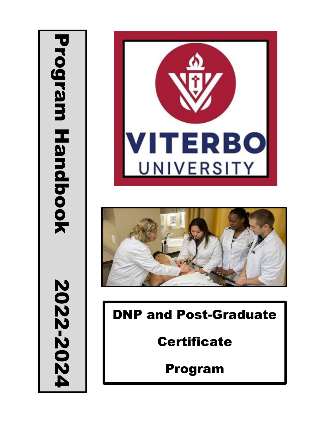





# DNP and Post-Graduate

**Certificate** 

Program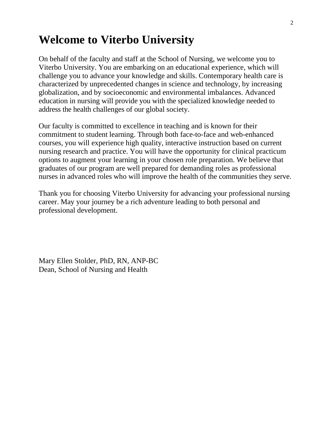# **Welcome to Viterbo University**

On behalf of the faculty and staff at the School of Nursing, we welcome you to Viterbo University. You are embarking on an educational experience, which will challenge you to advance your knowledge and skills. Contemporary health care is characterized by unprecedented changes in science and technology, by increasing globalization, and by socioeconomic and environmental imbalances. Advanced education in nursing will provide you with the specialized knowledge needed to address the health challenges of our global society.

Our faculty is committed to excellence in teaching and is known for their commitment to student learning. Through both face-to-face and web-enhanced courses, you will experience high quality, interactive instruction based on current nursing research and practice. You will have the opportunity for clinical practicum options to augment your learning in your chosen role preparation. We believe that graduates of our program are well prepared for demanding roles as professional nurses in advanced roles who will improve the health of the communities they serve.

Thank you for choosing Viterbo University for advancing your professional nursing career. May your journey be a rich adventure leading to both personal and professional development.

Mary Ellen Stolder, PhD, RN, ANP-BC Dean, School of Nursing and Health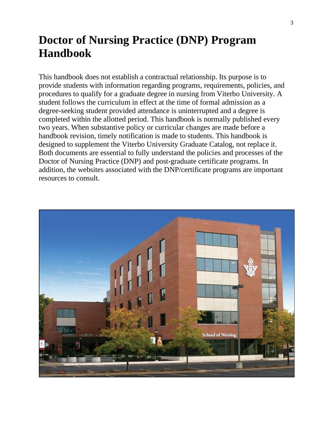# **Doctor of Nursing Practice (DNP) Program Handbook**

This handbook does not establish a contractual relationship. Its purpose is to provide students with information regarding programs, requirements, policies, and procedures to qualify for a graduate degree in nursing from Viterbo University. A student follows the curriculum in effect at the time of formal admission as a degree-seeking student provided attendance is uninterrupted and a degree is completed within the allotted period. This handbook is normally published every two years. When substantive policy or curricular changes are made before a handbook revision, timely notification is made to students. This handbook is designed to supplement the Viterbo University Graduate Catalog, not replace it. Both documents are essential to fully understand the policies and processes of the Doctor of Nursing Practice (DNP) and post-graduate certificate programs. In addition, the websites associated with the DNP/certificate programs are important resources to consult.

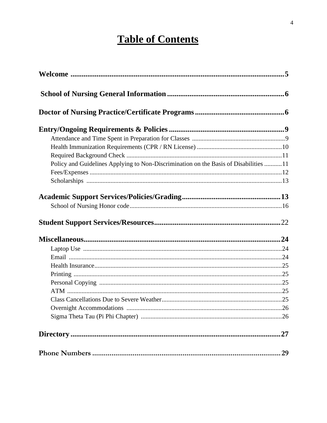# **Table of Contents**

| Policy and Guidelines Applying to Non-Discrimination on the Basis of Disabilities 11 |     |
|--------------------------------------------------------------------------------------|-----|
|                                                                                      |     |
|                                                                                      |     |
|                                                                                      |     |
|                                                                                      |     |
|                                                                                      |     |
|                                                                                      |     |
|                                                                                      |     |
|                                                                                      |     |
|                                                                                      |     |
|                                                                                      |     |
|                                                                                      |     |
|                                                                                      |     |
|                                                                                      |     |
|                                                                                      |     |
|                                                                                      |     |
|                                                                                      | .26 |
|                                                                                      |     |
|                                                                                      |     |
|                                                                                      | .27 |
|                                                                                      |     |
|                                                                                      |     |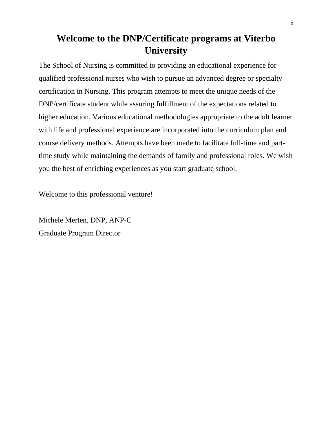# **Welcome to the DNP/Certificate programs at Viterbo University**

The School of Nursing is committed to providing an educational experience for qualified professional nurses who wish to pursue an advanced degree or specialty certification in Nursing. This program attempts to meet the unique needs of the DNP/certificate student while assuring fulfillment of the expectations related to higher education. Various educational methodologies appropriate to the adult learner with life and professional experience are incorporated into the curriculum plan and course delivery methods. Attempts have been made to facilitate full-time and parttime study while maintaining the demands of family and professional roles. We wish you the best of enriching experiences as you start graduate school.

Welcome to this professional venture!

Michele Merten, DNP, ANP-C Graduate Program Director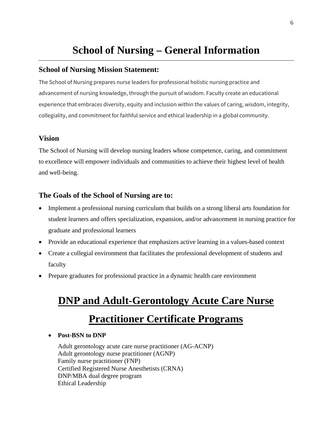# **School of Nursing – General Information**

## **School of Nursing Mission Statement:**

The School of Nursing prepares nurse leaders for professional holistic nursing practice and advancement of nursing knowledge, through the pursuit of wisdom. Faculty create an educational experience that embraces diversity, equity and inclusion within the values of caring, wisdom, integrity, collegiality, and commitment for faithful service and ethical leadership in a global community.

## **Vision**

The School of Nursing will develop nursing leaders whose competence, caring, and commitment to excellence will empower individuals and communities to achieve their highest level of health and well-being.

## **The Goals of the School of Nursing are to:**

- Implement a professional nursing curriculum that builds on a strong liberal arts foundation for student learners and offers specialization, expansion, and/or advancement in nursing practice for graduate and professional learners
- Provide an educational experience that emphasizes active learning in a values-based context
- Create a collegial environment that facilitates the professional development of students and faculty
- Prepare graduates for professional practice in a dynamic health care environment

# **DNP and Adult-Gerontology Acute Care Nurse Practitioner Certificate Programs**

#### **Post-BSN to DNP**

Adult gerontology acute care nurse practitioner (AG-ACNP) Adult gerontology nurse practitioner (AGNP) Family nurse practitioner (FNP) Certified Registered Nurse Anesthetists (CRNA) DNP/MBA dual degree program Ethical Leadership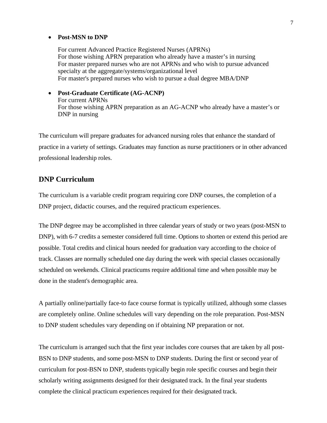#### **Post-MSN to DNP**

For current Advanced Practice Registered Nurses (APRNs) For those wishing APRN preparation who already have a master's in nursing For master prepared nurses who are not APRNs and who wish to pursue advanced specialty at the aggregate/systems/organizational level For master's prepared nurses who wish to pursue a dual degree MBA/DNP

 **Post-Graduate Certificate (AG-ACNP)**  For current APRNs For those wishing APRN preparation as an AG-ACNP who already have a master's or DNP in nursing

The curriculum will prepare graduates for advanced nursing roles that enhance the standard of practice in a variety of settings. Graduates may function as nurse practitioners or in other advanced professional leadership roles.

#### **DNP Curriculum**

Th[e curriculum i](http://www.viterbo.edu/academic/gr/grnursing/curricul.htm)s a variable credit program requiring core DNP courses, the completion of a DNP project, didactic courses, and the required practicum experiences.

The DNP degree may be accomplished in three calendar years of study or two years (post-MSN to DNP), with 6-7 credits a semester considered full time. Options to shorten or extend this period are possible. Total credits and clinical hours needed for graduation vary according to the choice of track. Classes are normally scheduled one day during the week with special classes occasionally scheduled on weekends. Clinical practicums require additional time and when possible may be done in the student's demographic area.

A partially online/partially face-to face course format is typically utilized, although some classes are completely online. Online schedules will vary depending on the role preparation. Post-MSN to DNP student schedules vary depending on if obtaining NP preparation or not.

The curriculum is arranged such that the first year includes core courses that are taken by all post-BSN to DNP students, and some post-MSN to DNP students. During the first or second year of curriculum for post-BSN to DNP, students typically begin role specific courses and begin their scholarly writing assignments designed for their designated track. In the final year students complete the clinical practicum experiences required for their designated track.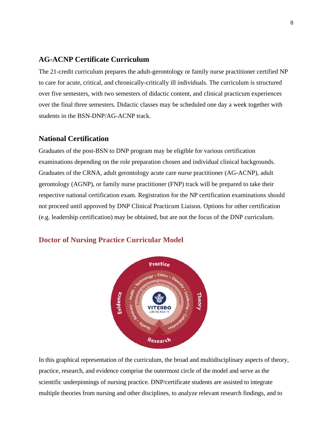#### **AG-ACNP Certificate Curriculum**

The 21-credit curriculum prepares the adult-gerontology or family nurse practitioner certified NP to care for acute, critical, and chronically-critically ill individuals. The curriculum is structured over five semesters, with two semesters of didactic content, and clinical practicum experiences over the final three semesters. Didactic classes may be scheduled one day a week together with students in the BSN-DNP/AG-ACNP track.

#### **National Certification**

Graduates of the post-BSN to DNP program may be eligible for various certification examinations depending on the role preparation chosen and individual clinical backgrounds. Graduates of the CRNA, adult gerontology acute care nurse practitioner (AG-ACNP), adult gerontology (AGNP), or family nurse practitioner (FNP) track will be prepared to take their respective national certification exam. Registration for the NP certification examinations should not proceed until approved by DNP Clinical Practicum Liaison. Options for other certification (e.g. leadership certification) may be obtained, but are not the focus of the DNP curriculum.

#### **Doctor of Nursing Practice Curricular Model**



In this graphical representation of the curriculum, the broad and multidisciplinary aspects of theory, practice, research, and evidence comprise the outermost circle of the model and serve as the scientific underpinnings of nursing practice. DNP/certificate students are assisted to integrate multiple theories from nursing and other disciplines, to analyze relevant research findings, and to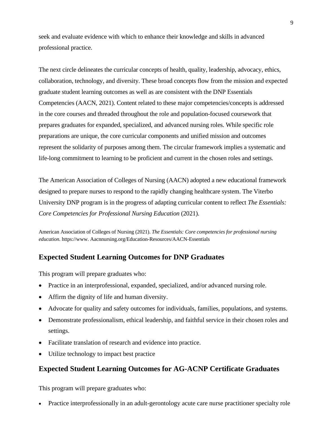seek and evaluate evidence with which to enhance their knowledge and skills in advanced professional practice.

The next circle delineates the curricular concepts of health, quality, leadership, advocacy, ethics, collaboration, technology, and diversity. These broad concepts flow from the mission and expected graduate student learning outcomes as well as are consistent with the DNP Essentials Competencies (AACN, 2021). Content related to these major competencies/concepts is addressed in the core courses and threaded throughout the role and population-focused coursework that prepares graduates for expanded, specialized, and advanced nursing roles. While specific role preparations are unique, the core curricular components and unified mission and outcomes represent the solidarity of purposes among them. The circular framework implies a systematic and life-long commitment to learning to be proficient and current in the chosen roles and settings.

The American Association of Colleges of Nursing (AACN) adopted a new educational framework designed to prepare nurses to respond to the rapidly changing healthcare system. The Viterbo University DNP program is in the progress of adapting curricular content to reflect *The Essentials: Core Competencies for Professional Nursing Education* (2021).

American Association of Colleges of Nursing (2021). *The Essentials: Core competencies for professional nursing education.* https://www. Aacnnursing.org/Education-Resources/AACN-Essentials

#### **Expected Student Learning Outcomes for DNP Graduates**

This program will prepare graduates who:

- Practice in an interprofessional, expanded, specialized, and/or advanced nursing role.
- Affirm the dignity of life and human diversity.
- Advocate for quality and safety outcomes for individuals, families, populations, and systems.
- Demonstrate professionalism, ethical leadership, and faithful service in their chosen roles and settings.
- Facilitate translation of research and evidence into practice.
- Utilize technology to impact best practice

#### **Expected Student Learning Outcomes for AG-ACNP Certificate Graduates**

This program will prepare graduates who:

Practice interprofessionally in an adult-gerontology acute care nurse practitioner specialty role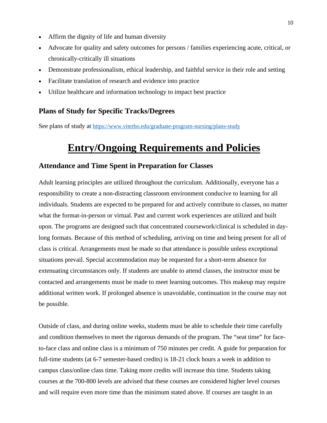- Affirm the dignity of life and human diversity
- Advocate for quality and safety outcomes for persons / families experiencing acute, critical, or chronically-critically ill situations
- Demonstrate professionalism, ethical leadership, and faithful service in their role and setting
- Facilitate translation of research and evidence into practice
- Utilize healthcare and information technology to impact best practice

## **Plans of Study for Specific Tracks/Degrees**

See plans of study at <https://www.viterbo.edu/graduate-program-nursing/plans-study>

# **Entry/Ongoing Requirements and Policies**

#### **Attendance and Time Spent in Preparation for Classes**

Adult learning principles are utilized throughout the curriculum. Additionally, everyone has a responsibility to create a non-distracting classroom environment conducive to learning for all individuals. Students are expected to be prepared for and actively contribute to classes, no matter what the format-in-person or virtual. Past and current work experiences are utilized and built upon. The programs are designed such that concentrated coursework/clinical is scheduled in daylong formats. Because of this method of scheduling, arriving on time and being present for all of class is critical. Arrangements must be made so that attendance is possible unless exceptional situations prevail. Special accommodation may be requested for a short-term absence for extenuating circumstances only. If students are unable to attend classes, the instructor must be contacted and arrangements must be made to meet learning outcomes. This makeup may require additional written work. If prolonged absence is unavoidable, continuation in the course may not be possible.

Outside of class, and during online weeks, students must be able to schedule their time carefully and condition themselves to meet the rigorous demands of the program. The "seat time" for faceto-face class and online class is a minimum of 750 minutes per credit. A guide for preparation for full-time students (at 6-7 semester-based credits) is 18-21 clock hours a week in addition to campus class/online class time. Taking more credits will increase this time. Students taking courses at the 700-800 levels are advised that these courses are considered higher level courses and will require even more time than the minimum stated above. If courses are taught in an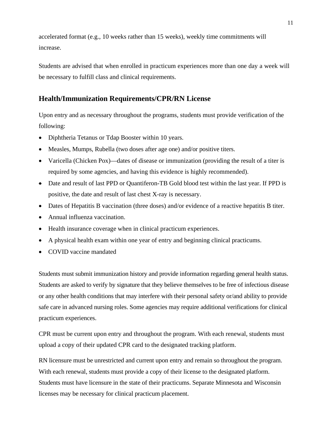accelerated format (e.g., 10 weeks rather than 15 weeks), weekly time commitments will increase.

Students are advised that when enrolled in practicum experiences more than one day a week will be necessary to fulfill class and clinical requirements.

# **Health/Immunization Requirements/CPR/RN License**

Upon entry and as necessary throughout the programs, students must provide verification of the following:

- Diphtheria Tetanus or Tdap Booster within 10 years.
- Measles, Mumps, Rubella (two doses after age one) and/or positive titers.
- Varicella (Chicken Pox)—dates of disease or immunization (providing the result of a titer is required by some agencies, and having this evidence is highly recommended).
- Date and result of last PPD or Quantiferon-TB Gold blood test within the last year. If PPD is positive, the date and result of last chest X-ray is necessary.
- Dates of Hepatitis B vaccination (three doses) and/or evidence of a reactive hepatitis B titer.
- Annual influenza vaccination.
- Health insurance coverage when in clinical practicum experiences.
- A physical health exam within one year of entry and beginning clinical practicums.
- COVID vaccine mandated

Students must submit immunization history and provide information regarding general health status. Students are asked to verify by signature that they believe themselves to be free of infectious disease or any other health conditions that may interfere with their personal safety or/and ability to provide safe care in advanced nursing roles. Some agencies may require additional verifications for clinical practicum experiences.

CPR must be current upon entry and throughout the program. With each renewal, students must upload a copy of their updated CPR card to the designated tracking platform.

RN licensure must be unrestricted and current upon entry and remain so throughout the program. With each renewal, students must provide a copy of their license to the designated platform. Students must have licensure in the state of their practicums. Separate Minnesota and Wisconsin licenses may be necessary for clinical practicum placement.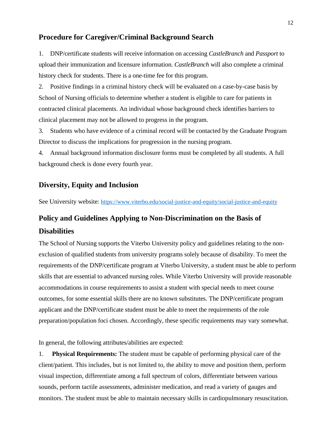#### **Procedure for Caregiver/Criminal Background Search**

1. DNP/certificate students will receive information on accessing *CastleBranch* and *Passport* to upload their immunization and licensure information. *CastleBranch* will also complete a criminal history check for students. There is a one-time fee for this program.

2. Positive findings in a criminal history check will be evaluated on a case-by-case basis by School of Nursing officials to determine whether a student is eligible to care for patients in contracted clinical placements. An individual whose background check identifies barriers to clinical placement may not be allowed to progress in the program.

3. Students who have evidence of a criminal record will be contacted by the Graduate Program Director to discuss the implications for progression in the nursing program.

4. Annual background information disclosure forms must be completed by all students. A full background check is done every fourth year.

## **Diversity, Equity and Inclusion**

See University website: <https://www.viterbo.edu/social-justice-and-equity/social-justice-and-equity>

# **Policy and Guidelines Applying to Non-Discrimination on the Basis of Disabilities**

The School of Nursing supports the Viterbo University policy and guidelines relating to the nonexclusion of qualified students from university programs solely because of disability. To meet the requirements of the DNP/certificate program at Viterbo University, a student must be able to perform skills that are essential to advanced nursing roles. While Viterbo University will provide reasonable accommodations in course requirements to assist a student with special needs to meet course outcomes, for some essential skills there are no known substitutes. The DNP/certificate program applicant and the DNP/certificate student must be able to meet the requirements of the role preparation/population foci chosen. Accordingly, these specific requirements may vary somewhat.

In general, the following attributes/abilities are expected:

1. **Physical Requirements:** The student must be capable of performing physical care of the client/patient. This includes, but is not limited to, the ability to move and position them, perform visual inspection, differentiate among a full spectrum of colors, differentiate between various sounds, perform tactile assessments, administer medication, and read a variety of gauges and monitors. The student must be able to maintain necessary skills in cardiopulmonary resuscitation.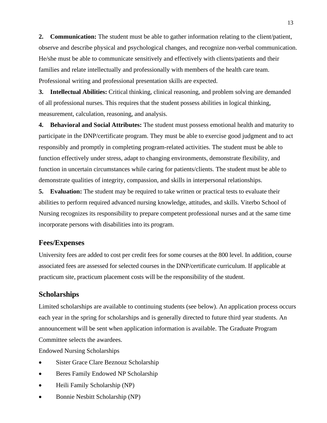**2. Communication:** The student must be able to gather information relating to the client/patient, observe and describe physical and psychological changes, and recognize non-verbal communication. He/she must be able to communicate sensitively and effectively with clients/patients and their families and relate intellectually and professionally with members of the health care team. Professional writing and professional presentation skills are expected.

**3. Intellectual Abilities:** Critical thinking, clinical reasoning, and problem solving are demanded of all professional nurses. This requires that the student possess abilities in logical thinking, measurement, calculation, reasoning, and analysis.

**4. Behavioral and Social Attributes:** The student must possess emotional health and maturity to participate in the DNP/certificate program. They must be able to exercise good judgment and to act responsibly and promptly in completing program-related activities. The student must be able to function effectively under stress, adapt to changing environments, demonstrate flexibility, and function in uncertain circumstances while caring for patients/clients. The student must be able to demonstrate qualities of integrity, compassion, and skills in interpersonal relationships.

**5. Evaluation:** The student may be required to take written or practical tests to evaluate their abilities to perform required advanced nursing knowledge, attitudes, and skills. Viterbo School of Nursing recognizes its responsibility to prepare competent professional nurses and at the same time incorporate persons with disabilities into its program.

#### **Fees/Expenses**

University fees are added to cost per credit fees for some courses at the 800 level. In addition, course associated fees are assessed for selected courses in the DNP/certificate curriculum. If applicable at practicum site, practicum placement costs will be the responsibility of the student.

#### **Scholarships**

Limited scholarships are available to continuing students (see below). An application process occurs each year in the spring for scholarships and is generally directed to future third year students. An announcement will be sent when application information is available. The Graduate Program Committee selects the awardees.

Endowed Nursing Scholarships

- Sister Grace Clare Beznouz Scholarship
- Beres Family Endowed NP Scholarship
- Heili Family Scholarship (NP)
- Bonnie Nesbitt Scholarship (NP)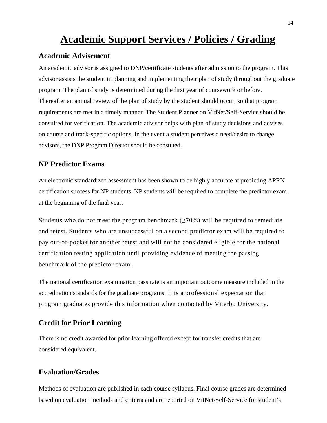# **Academic Support Services / Policies / Grading**

### **Academic Advisement**

An academic advisor is assigned to DNP/certificate students after admission to the program. This advisor assists the student in planning and implementing their plan of study throughout the graduate program. The plan of study is determined during the first year of coursework or before. Thereafter an annual review of the plan of study by the student should occur, so that program requirements are met in a timely manner. The Student Planner on VitNet/Self-Service should be consulted for verification. The academic advisor helps with plan of study decisions and advises on course and track-specific options. In the event a student perceives a need/desire to change advisors, the DNP Program Director should be consulted.

# **NP Predictor Exams**

An electronic standardized assessment has been shown to be highly accurate at predicting APRN certification success for NP students. NP students will be required to complete the predictor exam at the beginning of the final year.

Students who do not meet the program benchmark ( $\geq$ 70%) will be required to remediate and retest. Students who are unsuccessful on a second predictor exam will be required to pay out-of-pocket for another retest and will not be considered eligible for the national certification testing application until providing evidence of meeting the passing benchmark of the predictor exam.

The national certification examination pass rate is an important outcome measure included in the accreditation standards for the graduate programs. It is a professional expectation that program graduates provide this information when contacted by Viterbo University.

#### **Credit for Prior Learning**

There is no credit awarded for prior learning offered except for transfer credits that are considered equivalent.

#### **Evaluation/Grades**

Methods of evaluation are published in each course syllabus. Final course grades are determined based on evaluation methods and criteria and are reported on VitNet/Self-Service for student's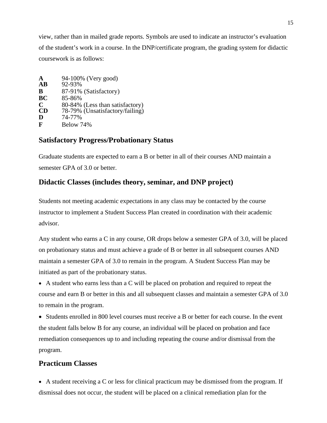view, rather than in mailed grade reports. Symbols are used to indicate an instructor's evaluation of the student's work in a course. In the DNP/certificate program, the grading system for didactic coursework is as follows:

| A                      | 94-100% (Very good)             |
|------------------------|---------------------------------|
| $\mathbf{A}\mathbf{B}$ | 92-93%                          |
| B                      | 87-91% (Satisfactory)           |
| ВC                     | 85-86%                          |
| C                      | 80-84% (Less than satisfactory) |
| CD                     | 78-79% (Unsatisfactory/failing) |
| D                      | 74-77%                          |
| F                      | Below 74%                       |

# **Satisfactory Progress/Probationary Status**

Graduate students are expected to earn a B or better in all of their courses AND maintain a semester GPA of 3.0 or better.

# **Didactic Classes (includes theory, seminar, and DNP project)**

Students not meeting academic expectations in any class may be contacted by the course instructor to implement a Student Success Plan created in coordination with their academic advisor.

Any student who earns a C in any course, OR drops below a semester GPA of 3.0, will be placed on probationary status and must achieve a grade of B or better in all subsequent courses AND maintain a semester GPA of 3.0 to remain in the program. A Student Success Plan may be initiated as part of the probationary status.

 A student who earns less than a C will be placed on probation and required to repeat the course and earn B or better in this and all subsequent classes and maintain a semester GPA of 3.0 to remain in the program.

 Students enrolled in 800 level courses must receive a B or better for each course. In the event the student falls below B for any course, an individual will be placed on probation and face remediation consequences up to and including repeating the course and/or dismissal from the program.

## **Practicum Classes**

 A student receiving a C or less for clinical practicum may be dismissed from the program. If dismissal does not occur, the student will be placed on a clinical remediation plan for the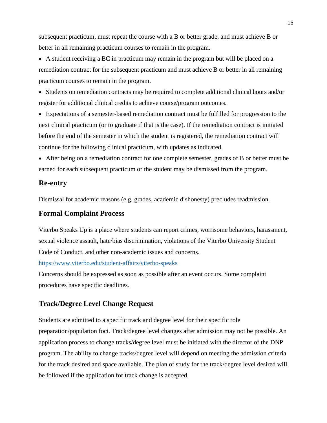subsequent practicum, must repeat the course with a B or better grade, and must achieve B or better in all remaining practicum courses to remain in the program.

 A student receiving a BC in practicum may remain in the program but will be placed on a remediation contract for the subsequent practicum and must achieve B or better in all remaining practicum courses to remain in the program.

• Students on remediation contracts may be required to complete additional clinical hours and/or register for additional clinical credits to achieve course/program outcomes.

 Expectations of a semester-based remediation contract must be fulfilled for progression to the next clinical practicum (or to graduate if that is the case). If the remediation contract is initiated before the end of the semester in which the student is registered, the remediation contract will continue for the following clinical practicum, with updates as indicated.

 After being on a remediation contract for one complete semester, grades of B or better must be earned for each subsequent practicum or the student may be dismissed from the program.

#### **Re-entry**

Dismissal for academic reasons (e.g. grades, academic dishonesty) precludes readmission.

#### **Formal Complaint Process**

Viterbo Speaks Up is a place where students can report crimes, worrisome behaviors, harassment, [sexual violence assault, hate/bias discrimination, violations of the Viterbo University Student](http://www.thezonelive.com/SchoolStructure/WI_ViterboUniversity/handbook.pdf)  [Code of Conduct, and other non-academic issues and concerns.](http://www.thezonelive.com/SchoolStructure/WI_ViterboUniversity/handbook.pdf) 

<https://www.viterbo.edu/student-affairs/viterbo-speaks>

Concerns should be expressed as soon as possible after an event occurs. Some complaint procedures have specific deadlines.

#### **Track/Degree Level Change Request**

Students are admitted to a specific track and degree level for their specific role preparation/population foci. Track/degree level changes after admission may not be possible. An application process to change tracks/degree level must be initiated with the director of the DNP program. The ability to change tracks/degree level will depend on meeting the admission criteria for the track desired and space available. The plan of study for the track/degree level desired will be followed if the application for track change is accepted.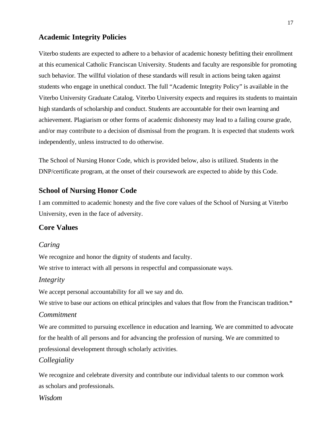#### **Academic Integrity Policies**

Viterbo students are expected to adhere to a behavior of academic honesty befitting their enrollment at this ecumenical Catholic Franciscan University. Students and faculty are responsible for promoting such behavior. The willful violation of these standards will result in actions being taken against students who engage in unethical conduct. The full "Academic Integrity Policy" is available in the Viterbo University Graduate Catalog. Viterbo University expects and requires its students to maintain high standards of scholarship and conduct. Students are accountable for their own learning and achievement. Plagiarism or other forms of academic dishonesty may lead to a failing course grade, and/or may contribute to a decision of dismissal from the program. It is expected that students work independently, unless instructed to do otherwise.

The School of Nursing Honor Code, which is provided below, also is utilized. Students in the DNP/certificate program, at the onset of their coursework are expected to abide by this Code.

#### **School of Nursing Honor Code**

I am committed to academic honesty and the five core values of the School of Nursing at Viterbo University, even in the face of adversity.

#### **Core Values**

#### *Caring*

We recognize and honor the dignity of students and faculty.

We strive to interact with all persons in respectful and compassionate ways.

#### *Integrity*

We accept personal accountability for all we say and do.

We strive to base our actions on ethical principles and values that flow from the Franciscan tradition.\*

#### *Commitment*

We are committed to pursuing excellence in education and learning. We are committed to advocate for the health of all persons and for advancing the profession of nursing. We are committed to professional development through scholarly activities.

#### *Collegiality*

We recognize and celebrate diversity and contribute our individual talents to our common work as scholars and professionals.

*Wisdom*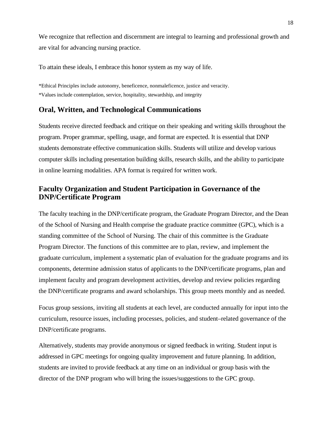We recognize that reflection and discernment are integral to learning and professional growth and are vital for advancing nursing practice.

To attain these ideals, I embrace this honor system as my way of life.

\*Ethical Principles include autonomy, beneficence, nonmaleficence, justice and veracity. \*Values include contemplation, service, hospitality, stewardship, and integrity

# **Oral, Written, and Technological Communications**

Students receive directed feedback and critique on their speaking and writing skills throughout the program. Proper grammar, spelling, usage, and format are expected. It is essential that DNP students demonstrate effective communication skills. Students will utilize and develop various computer skills including presentation building skills, research skills, and the ability to participate in online learning modalities. APA format is required for written work.

# **Faculty Organization and Student Participation in Governance of the DNP/Certificate Program**

The faculty teaching in the DNP/certificate program, the Graduate Program Director, and the Dean of the School of Nursing and Health comprise the graduate practice committee (GPC), which is a standing committee of the School of Nursing. The chair of this committee is the Graduate Program Director. The functions of this committee are to plan, review, and implement the graduate curriculum, implement a systematic plan of evaluation for the graduate programs and its components, determine admission status of applicants to the DNP/certificate programs, plan and implement faculty and program development activities, develop and review policies regarding the DNP/certificate programs and award scholarships. This group meets monthly and as needed.

Focus group sessions, inviting all students at each level, are conducted annually for input into the curriculum, resource issues, including processes, policies, and student–related governance of the DNP/certificate programs.

Alternatively, students may provide anonymous or signed feedback in writing. Student input is addressed in GPC meetings for ongoing quality improvement and future planning. In addition, students are invited to provide feedback at any time on an individual or group basis with the director of the DNP program who will bring the issues/suggestions to the GPC group.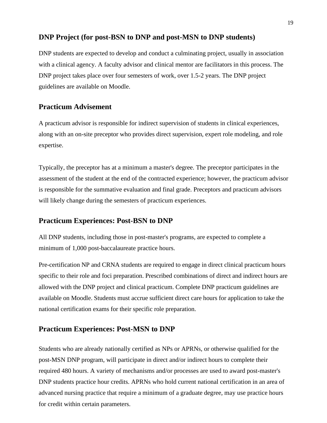## **DNP Project (for post-BSN to DNP and post-MSN to DNP students)**

DNP students are expected to develop and conduct a culminating project, usually in association with a clinical agency. A faculty advisor and clinical mentor are facilitators in this process. The DNP project takes place over four semesters of work, over 1.5-2 years. The DNP project guidelines are available on Moodle.

#### **Practicum Advisement**

A practicum advisor is responsible for indirect supervision of students in clinical experiences, along with an on-site preceptor who provides direct supervision, expert role modeling, and role expertise.

Typically, the preceptor has at a minimum a master's degree. The preceptor participates in the assessment of the student at the end of the contracted experience; however, the practicum advisor is responsible for the summative evaluation and final grade. Preceptors and practicum advisors will likely change during the semesters of practicum experiences.

# **Practicum Experiences: Post-BSN to DNP**

All DNP students, including those in post-master's programs, are expected to complete a minimum of 1,000 post-baccalaureate practice hours.

Pre-certification NP and CRNA students are required to engage in direct clinical practicum hours specific to their role and foci preparation. Prescribed combinations of direct and indirect hours are allowed with the DNP project and clinical practicum. Complete DNP practicum guidelines are available on Moodle. Students must accrue sufficient direct care hours for application to take the national certification exams for their specific role preparation.

#### **Practicum Experiences: Post-MSN to DNP**

Students who are already nationally certified as NPs or APRNs, or otherwise qualified for the post-MSN DNP program, will participate in direct and/or indirect hours to complete their required 480 hours. A variety of mechanisms and/or processes are used to award post-master's DNP students practice hour credits. APRNs who hold current national certification in an area of advanced nursing practice that require a minimum of a graduate degree, may use practice hours for credit within certain parameters.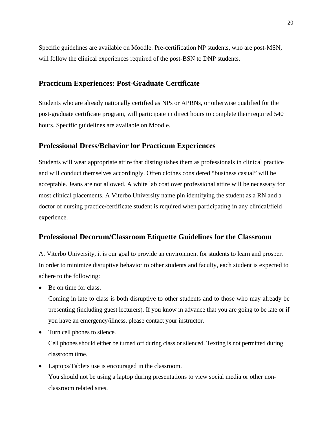Specific guidelines are available on Moodle. Pre-certification NP students, who are post-MSN, will follow the clinical experiences required of the post-BSN to DNP students.

#### **Practicum Experiences: Post-Graduate Certificate**

Students who are already nationally certified as NPs or APRNs, or otherwise qualified for the post-graduate certificate program, will participate in direct hours to complete their required 540 hours. Specific guidelines are available on Moodle.

#### **Professional Dress/Behavior for Practicum Experiences**

Students will wear appropriate attire that distinguishes them as professionals in clinical practice and will conduct themselves accordingly. Often clothes considered "business casual" will be acceptable. Jeans are not allowed. A white lab coat over professional attire will be necessary for most clinical placements. A Viterbo University name pin identifying the student as a RN and a doctor of nursing practice/certificate student is required when participating in any clinical/field experience.

#### **Professional Decorum/Classroom Etiquette Guidelines for the Classroom**

At Viterbo University, it is our goal to provide an environment for students to learn and prosper. In order to minimize disruptive behavior to other students and faculty, each student is expected to adhere to the following:

• Be on time for class.

 Coming in late to class is both disruptive to other students and to those who may already be presenting (including guest lecturers). If you know in advance that you are going to be late or if you have an emergency/illness, please contact your instructor.

• Turn cell phones to silence.

 Cell phones should either be turned off during class or silenced. Texting is not permitted during classroom time.

• Laptops/Tablets use is encouraged in the classroom. You should not be using a laptop during presentations to view social media or other nonclassroom related sites.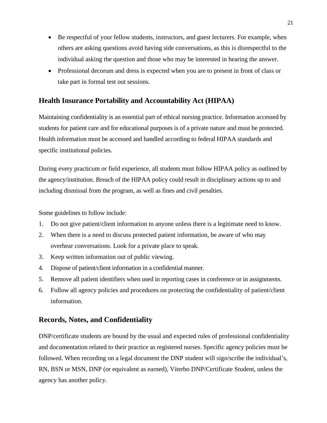- Be respectful of your fellow students, instructors, and guest lecturers. For example, when others are asking questions avoid having side conversations, as this is disrespectful to the individual asking the question and those who may be interested in hearing the answer.
- Professional decorum and dress is expected when you are to present in front of class or take part in formal test out sessions.

# **Health Insurance Portability and Accountability Act (HIPAA)**

Maintaining confidentiality is an essential part of ethical nursing practice. Information accessed by students for patient care and for educational purposes is of a private nature and must be protected. Health information must be accessed and handled according to federal HIPAA standards and specific institutional policies.

During every practicum or field experience, all students must follow HIPAA policy as outlined by the agency/institution. Breach of the HIPAA policy could result in disciplinary actions up to and including dismissal from the program, as well as fines and civil penalties.

Some guidelines to follow include:

- 1. Do not give patient/client information to anyone unless there is a legitimate need to know.
- 2. When there is a need to discuss protected patient information, be aware of who may overhear conversations. Look for a private place to speak.
- 3. Keep written information out of public viewing.
- 4. Dispose of patient/client information in a confidential manner.
- 5. Remove all patient identifiers when used in reporting cases in conference or in assignments.
- 6. Follow all agency policies and procedures on protecting the confidentiality of patient/client information.

## **Records, Notes, and Confidentiality**

DNP/certificate students are bound by the usual and expected rules of professional confidentiality and documentation related to their practice as registered nurses. Specific agency policies must be followed. When recording on a legal document the DNP student will sign/scribe the individual's, RN, BSN or MSN, DNP (or equivalent as earned), Viterbo DNP/Certificate Student, unless the agency has another policy.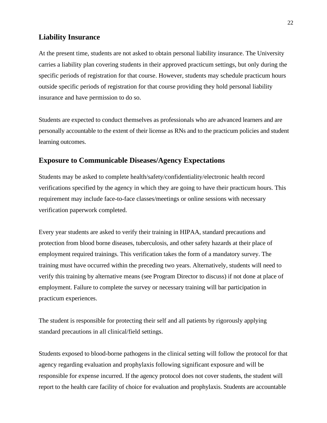#### **Liability Insurance**

At the present time, students are not asked to obtain personal liability insurance. The University carries a liability plan covering students in their approved practicum settings, but only during the specific periods of registration for that course. However, students may schedule practicum hours outside specific periods of registration for that course providing they hold personal liability insurance and have permission to do so.

Students are expected to conduct themselves as professionals who are advanced learners and are personally accountable to the extent of their license as RNs and to the practicum policies and student learning outcomes.

#### **Exposure to Communicable Diseases/Agency Expectations**

Students may be asked to complete health/safety/confidentiality/electronic health record verifications specified by the agency in which they are going to have their practicum hours. This requirement may include face-to-face classes/meetings or online sessions with necessary verification paperwork completed.

Every year students are asked to verify their training in HIPAA, standard precautions and protection from blood borne diseases, tuberculosis, and other safety hazards at their place of employment required trainings. This verification takes the form of a mandatory survey. The training must have occurred within the preceding two years. Alternatively, students will need to verify this training by alternative means (see Program Director to discuss) if not done at place of employment. Failure to complete the survey or necessary training will bar participation in practicum experiences.

The student is responsible for protecting their self and all patients by rigorously applying standard precautions in all clinical/field settings.

Students exposed to blood-borne pathogens in the clinical setting will follow the protocol for that agency regarding evaluation and prophylaxis following significant exposure and will be responsible for expense incurred. If the agency protocol does not cover students, the student will report to the health care facility of choice for evaluation and prophylaxis. Students are accountable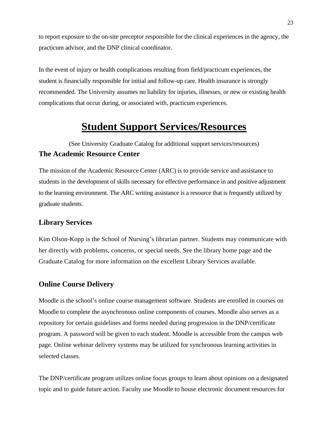to report exposure to the on-site preceptor responsible for the clinical experiences in the agency, the practicum advisor, and the DNP clinical coordinator.

In the event of injury or health complications resulting from field/practicum experiences, the student is financially responsible for initial and follow-up care. Health insurance is strongly recommended. The University assumes no liability for injuries, illnesses, or new or existing health complications that occur during, or associated with, practicum experiences.

# **Student Support Services/Resources**

(See University Graduate Catalog for additional support services/resources) **The Academic Resource Center** 

The mission of the Academic Resource Center (ARC) is to provide service and assistance to students in the development of skills necessary for effective performance in and positive adjustment to the learning environment. The ARC writing assistance is a resource that is frequently utilized by graduate students.

#### **Library Services**

Kim Olson-Kopp is the School of Nursing's librarian partner. Students may communicate with her directly with problems, concerns, or special needs. See the library home page and the Graduate Catalog for more information on the excellent Library Services available.

#### **Online Course Delivery**

Moodle is the school's online course management software. Students are enrolled in courses on Moodle to complete the asynchronous online components of courses. Moodle also serves as a repository for certain guidelines and forms needed during progression in the DNP/certificate program. A password will be given to each student. Moodle is accessible from the campus web page. Online webinar delivery systems may be utilized for synchronous learning activities in selected classes.

The DNP/certificate program utilizes online focus groups to learn about opinions on a designated topic and to guide future action. Faculty use Moodle to house electronic document resources for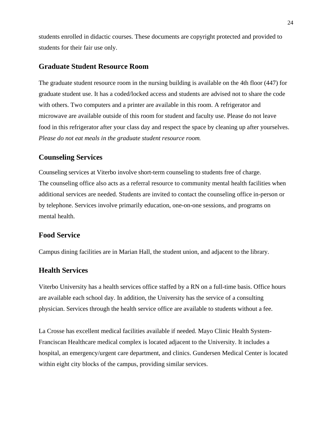students enrolled in didactic courses. These documents are copyright protected and provided to students for their fair use only.

#### **Graduate Student Resource Room**

The graduate student resource room in the nursing building is available on the 4th floor (447) for graduate student use. It has a coded/locked access and students are advised not to share the code with others. Two computers and a printer are available in this room. A refrigerator and microwave are available outside of this room for student and faculty use. Please do not leave food in this refrigerator after your class day and respect the space by cleaning up after yourselves. *Please do not eat meals in the graduate student resource room.*

#### **Counseling Services**

Counseling services at Viterbo involve short-term counseling to students free of charge. The counseling office also acts as a referral resource to community mental health facilities when additional services are needed. Students are invited to contact the counseling office in-person or by telephone. Services involve primarily education, one-on-one sessions, and programs on mental health.

#### **Food Service**

Campus dining facilities are in Marian Hall, the student union, and adjacent to the library.

#### **Health Services**

Viterbo University has a health services office staffed by a RN on a full-time basis. Office hours are available each school day. In addition, the University has the service of a consulting physician. Services through the health service office are available to students without a fee.

La Crosse has excellent medical facilities available if needed. Mayo Clinic Health System-Franciscan Healthcare medical complex is located adjacent to the University. It includes a hospital, an emergency/urgent care department, and clinics. Gundersen Medical Center is located within eight city blocks of the campus, providing similar services.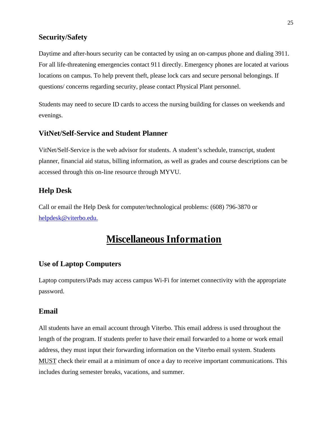# **Security/Safety**

Daytime and after-hours security can be contacted by using an on-campus phone and dialing 3911. For all life-threatening emergencies contact 911 directly. Emergency phones are located at various locations on campus. To help prevent theft, please lock cars and secure personal belongings. If questions/ concerns regarding security, please contact Physical Plant personnel.

Students may need to secure ID cards to access the nursing building for classes on weekends and evenings.

# **VitNet/Self-Service and Student Planner**

VitNet/Self-Service is the web advisor for students. A student's schedule, transcript, student planner, financial aid status, billing information, as well as grades and course descriptions can be accessed through this on-line resource through MYVU.

# **Help Desk**

Call or email the Help Desk for computer/t[echnological problems: \(6](mailto:helpdesk@viterbo.edu)08) 796-3870 o[r](mailto:helpdesk@viterbo.edu) [helpdesk@viterbo.edu.](mailto:helpdesk@viterbo.edu) 

# **Miscellaneous Information**

## **Use of Laptop Computers**

Laptop computers/iPads may access campus Wi-Fi for internet connectivity with the appropriate password.

#### **Email**

All students have an email account through Viterbo. This email address is used throughout the length of the program. If students prefer to have their email forwarded to a home or work email address, they must input their forwarding information on the Viterbo email system. Students MUST check their email at a minimum of once a day to receive important communications. This includes during semester breaks, vacations, and summer.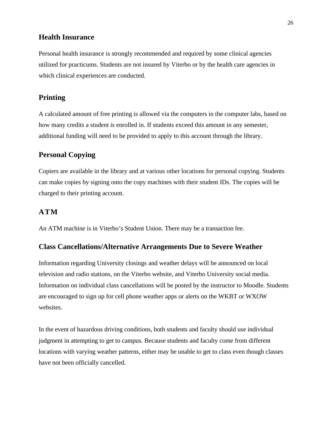#### **Health Insurance**

Personal health insurance is strongly recommended and required by some clinical agencies utilized for practicums. Students are not insured by Viterbo or by the health care agencies in which clinical experiences are conducted.

# **Printing**

A calculated amount of free printing is allowed via the computers in the computer labs, based on how many credits a student is enrolled in. If students exceed this amount in any semester, additional funding will need to be provided to apply to this account through the library.

# **Personal Copying**

Copiers are available in the library and at various other locations for personal copying. Students can make copies by signing onto the copy machines with their student IDs. The copies will be charged to their printing account.

#### **ATM**

An ATM machine is in Viterbo's Student Union. There may be a transaction fee.

#### **Class Cancellations/Alternative Arrangements Due to Severe Weather**

Information regarding University closings and weather delays will be announced on local television and radio stations, on the Viterbo website, and Viterbo University social media. Information on individual class cancellations will be posted by the instructor to Moodle. Students are encouraged to sign up for cell phone weather apps or alerts on the WKBT or WXOW websites.

In the event of hazardous driving conditions, both students and faculty should use individual judgment in attempting to get to campus. Because students and faculty come from different locations with varying weather patterns, either may be unable to get to class even though classes have not been officially cancelled.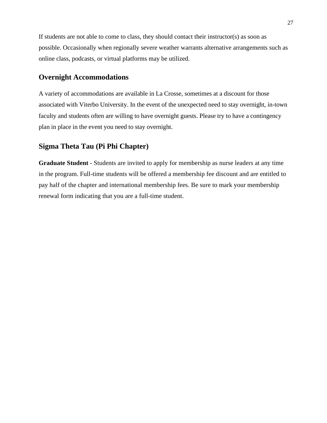If students are not able to come to class, they should contact their instructor(s) as soon as possible. Occasionally when regionally severe weather warrants alternative arrangements such as online class, podcasts, or virtual platforms may be utilized.

## **Overnight Accommodations**

A variety of accommodations are available in La Crosse, sometimes at a discount for those associated with Viterbo University. In the event of the unexpected need to stay overnight, in-town faculty and students often are willing to have overnight guests. Please try to have a contingency plan in place in the event you need to stay overnight.

#### **Sigma Theta Tau (Pi Phi Chapter)**

**Graduate Student** - Students are invited to apply for membership as nurse leaders at any time in the program. Full-time students will be offered a membership fee discount and are entitled to pay half of the chapter and international membership fees. Be sure to mark your membership renewal form indicating that you are a full-time student.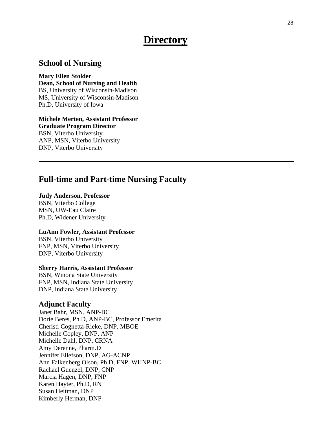# **Directory**

# **School of Nursing**

**Mary Ellen Stolder Dean, School of Nursing and Health**  BS, University of Wisconsin-Madison MS, University of Wisconsin-Madison Ph.D, University of Iowa

**Michele Merten, Assistant Professor Graduate Program Director**  BSN, Viterbo University ANP, MSN, Viterbo University DNP, Viterbo University

# **Full-time and Part-time Nursing Faculty**

#### **Judy Anderson, Professor**

BSN, Viterbo College MSN, UW-Eau Claire Ph.D, Widener University

#### **LuAnn Fowler, Assistant Professor**

BSN, Viterbo University FNP, MSN, Viterbo University DNP, Viterbo University

#### **Sherry Harris, Assistant Professor**

BSN, Winona State University FNP, MSN, Indiana State University DNP, Indiana State University

#### **Adjunct Faculty**

Janet Bahr, MSN, ANP-BC Dorie Beres, Ph.D, ANP-BC, Professor Emerita Cheristi Cognetta-Rieke, DNP, MBOE Michelle Copley, DNP, ANP Michelle Dahl, DNP, CRNA Amy Derenne, Pharm.D Jennifer Ellefson, DNP, AG-ACNP Ann Falkenberg Olson, Ph.D, FNP, WHNP-BC Rachael Guenzel, DNP, CNP Marcia Hagen, DNP, FNP Karen Hayter, Ph.D, RN Susan Heitman, DNP Kimberly Herman, DNP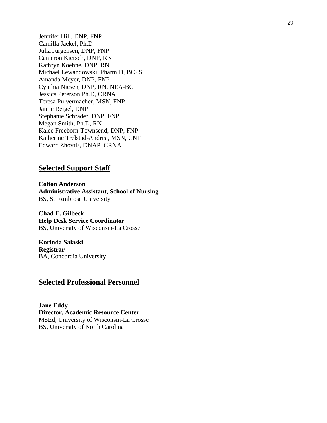Jennifer Hill, DNP, FNP Camilla Jaekel, Ph.D Julia Jurgensen, DNP, FNP Cameron Kiersch, DNP, RN Kathryn Koehne, DNP, RN Michael Lewandowski, Pharm.D, BCPS Amanda Meyer, DNP, FNP Cynthia Niesen, DNP, RN, NEA-BC Jessica Peterson Ph.D, CRNA Teresa Pulvermacher, MSN, FNP Jamie Reigel, DNP Stephanie Schrader, DNP, FNP Megan Smith, Ph.D, RN Kalee Freeborn-Townsend, DNP, FNP Katherine Trelstad-Andrist, MSN, CNP Edward Zhovtis, DNAP, CRNA

## **Selected Support Staff**

**Colton Anderson Administrative Assistant, School of Nursing**  BS, St. Ambrose University

**Chad E. Gilbeck Help Desk Service Coordinator**  BS, University of Wisconsin-La Crosse

**Korinda Salaski Registrar**  BA, Concordia University

#### **Selected Professional Personnel**

**Jane Eddy Director, Academic Resource Center**  MSEd, University of Wisconsin-La Crosse BS, University of North Carolina